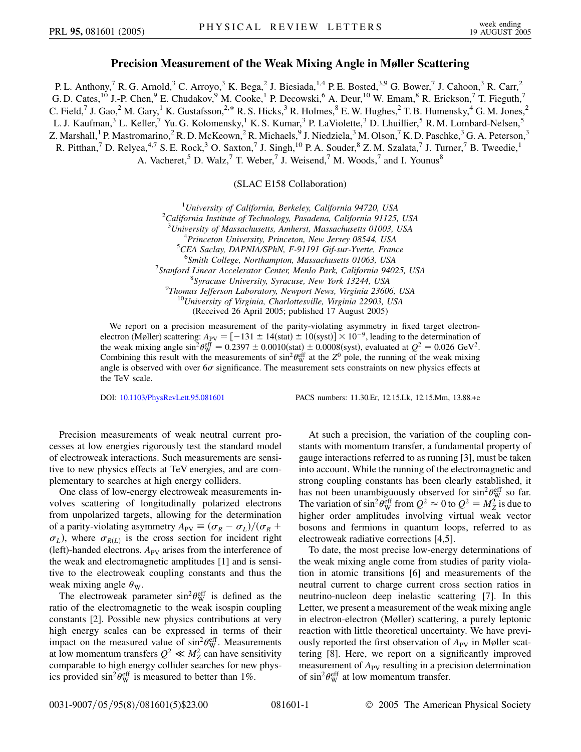## **Precision Measurement of the Weak Mixing Angle in Møller Scattering**

P. L. Anthony,<sup>7</sup> R. G. Arnold,<sup>3</sup> C. Arroyo,<sup>3</sup> K. Bega,<sup>2</sup> J. Biesiada,<sup>1,4</sup> P. E. Bosted,<sup>3,9</sup> G. Bower,<sup>7</sup> J. Cahoon,<sup>3</sup> R. Carr,<sup>2</sup> G. D. Cates,  $^{10}$  J.-P. Chen,  $^{9}$  E. Chudakov,  $^{9}$  M. Cooke,  $^{1}$  P. Decowski,  $^{6}$  A. Deur,  $^{10}$  W. Emam,  $^{8}$  R. Erickson,  $^{7}$  T. Fieguth,  $^{7}$ C. Field,<sup>7</sup> J. Gao,<sup>2</sup> M. Gary,<sup>1</sup> K. Gustafsson,<sup>2,\*</sup> R. S. Hicks,<sup>3</sup> R. Holmes,<sup>8</sup> E. W. Hughes,<sup>2</sup> T. B. Humensky,<sup>4</sup> G. M. Jones,<sup>2</sup> L. J. Kaufman,<sup>3</sup> L. Keller,<sup>7</sup> Yu. G. Kolomensky,<sup>1</sup> K. S. Kumar,<sup>3</sup> P. LaViolette,<sup>3</sup> D. Lhuillier,<sup>5</sup> R. M. Lombard-Nelsen,<sup>5</sup> Z. Marshall,<sup>1</sup> P. Mastromarino,<sup>2</sup> R. D. McKeown,<sup>2</sup> R. Michaels,<sup>9</sup> J. Niedziela,<sup>3</sup> M. Olson,<sup>7</sup> K. D. Paschke,<sup>3</sup> G. A. Peterson,<sup>3</sup> R. Pitthan,<sup>7</sup> D. Relyea,<sup>4,7</sup> S. E. Rock,<sup>3</sup> O. Saxton,<sup>7</sup> J. Singh,<sup>10</sup> P. A. Souder,<sup>8</sup> Z. M. Szalata,<sup>7</sup> J. Turner,<sup>7</sup> B. Tweedie,<sup>1</sup> A. Vacheret,<sup>5</sup> D. Walz,<sup>7</sup> T. Weber,<sup>7</sup> J. Weisend,<sup>7</sup> M. Woods,<sup>7</sup> and I. Younus<sup>8</sup>

(SLAC E158 Collaboration)

<sup>1</sup> University of California, Berkeley, California 94720, USA<br><sup>2</sup> California Institute of Technology, Basadana, California 01125 *California Institute of Technology, Pasadena, California 91125, USA* 3 *University of Massachusetts, Amherst, Massachusetts 01003, USA* <sup>4</sup> <sup>4</sup> Princeton University, Princeton, New Jersey 08544, USA *CEA Saclay, DAPNIA/SPhN, F-91191 Gif-sur-Yvette, France* <sup>6</sup> Smith College, Northampton, Massachusetts 01063, USA<br><sup>7</sup> Starford Linear Accelerator Center, Maple Park, Celifornia 040 *Stanford Linear Accelerator Center, Menlo Park, California 94025, USA* <sup>8</sup> *Syracuse University, Syracuse, New York 13244, USA* <sup>9</sup> *Thomas Jefferson Laboratory, Newport News, Virginia 23606, USA* <sup>10</sup>*University of Virginia, Charlottesville, Virginia 22903, USA* (Received 26 April 2005; published 17 August 2005)

We report on a precision measurement of the parity-violating asymmetry in fixed target electronelectron (Møller) scattering:  $A_{PV} = [-131 \pm 14 \text{(stat)} \pm 10 \text{(syst)}] \times 10^{-9}$ , leading to the determination of the weak mixing angle  $\sin^2 \theta_W^{\text{eff}} = 0.2397 \pm 0.0010(\text{stat}) \pm 0.0008(\text{syst})$ , evaluated at  $Q^2 = 0.026 \text{ GeV}^2$ . Combining this result with the measurements of  $\sin^2\theta_W^{\text{eff}}$  at the  $Z^0$  pole, the running of the weak mixing angle is observed with over  $6\sigma$  significance. The measurement sets constraints on new physics effects at the TeV scale.

DOI: [10.1103/PhysRevLett.95.081601](http://dx.doi.org/10.1103/PhysRevLett.95.081601) PACS numbers: 11.30.Er, 12.15.Lk, 12.15.Mm, 13.88.+e

Precision measurements of weak neutral current processes at low energies rigorously test the standard model of electroweak interactions. Such measurements are sensitive to new physics effects at TeV energies, and are complementary to searches at high energy colliders.

One class of low-energy electroweak measurements involves scattering of longitudinally polarized electrons from unpolarized targets, allowing for the determination of a parity-violating asymmetry  $A_{PV} \equiv (\sigma_R - \sigma_L)/(\sigma_R + \sigma_R)$  $\sigma_L$ ), where  $\sigma_{R(L)}$  is the cross section for incident right (left)-handed electrons. A<sub>PV</sub> arises from the interference of the weak and electromagnetic amplitudes [1] and is sensitive to the electroweak coupling constants and thus the weak mixing angle  $\theta_{\rm W}$ .

The electroweak parameter  $\sin^2 \theta_W^{\text{eff}}$  is defined as the ratio of the electromagnetic to the weak isospin coupling constants [2]. Possible new physics contributions at very high energy scales can be expressed in terms of their impact on the measured value of  $\sin^2 \theta_W^{\text{eff}}$ . Measurements at low momentum transfers  $Q^2 \ll M_Z^2$  can have sensitivity comparable to high energy collider searches for new physics provided  $\sin^2\theta_W^{\text{eff}}$  is measured to better than 1%.

At such a precision, the variation of the coupling constants with momentum transfer, a fundamental property of gauge interactions referred to as running [3], must be taken into account. While the running of the electromagnetic and strong coupling constants has been clearly established, it has not been unambiguously observed for  $\sin^2\theta_{\rm W}^{\rm eff}$  so far. The variation of  $\sin^2 \theta_W^{\text{eff}}$  from  $Q^2 \approx 0$  to  $Q^2 = M_Z^2$  is due to higher order amplitudes involving virtual weak vector bosons and fermions in quantum loops, referred to as electroweak radiative corrections [4,5].

To date, the most precise low-energy determinations of the weak mixing angle come from studies of parity violation in atomic transitions [6] and measurements of the neutral current to charge current cross section ratios in neutrino-nucleon deep inelastic scattering [7]. In this Letter, we present a measurement of the weak mixing angle in electron-electron (Møller) scattering, a purely leptonic reaction with little theoretical uncertainty. We have previously reported the first observation of  $A_{PV}$  in Møller scattering [8]. Here, we report on a significantly improved measurement of  $A_{PV}$  resulting in a precision determination of  $\sin^2 \theta_W^{\text{eff}}$  at low momentum transfer.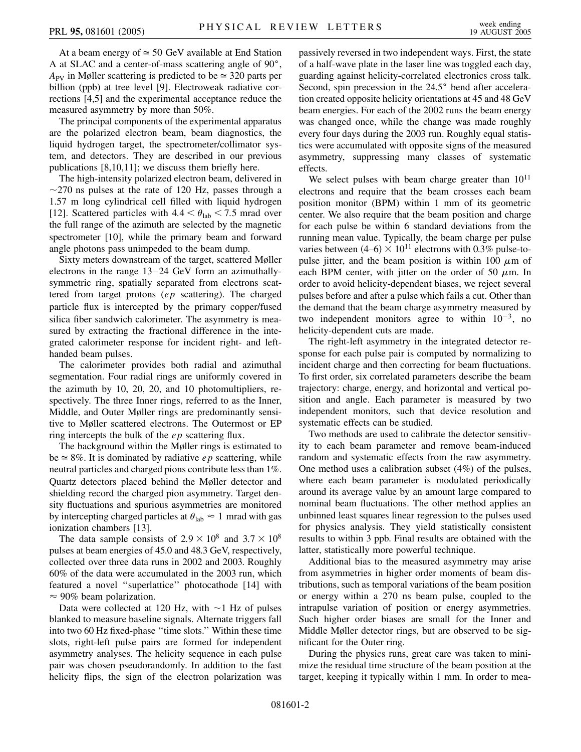At a beam energy of  $\simeq 50$  GeV available at End Station A at SLAC and a center-of-mass scattering angle of  $90^\circ$ ,  $A_{\rm PV}$  in Møller scattering is predicted to be  $\simeq 320$  parts per billion (ppb) at tree level [9]. Electroweak radiative corrections [4,5] and the experimental acceptance reduce the measured asymmetry by more than 50%.

The principal components of the experimental apparatus are the polarized electron beam, beam diagnostics, the liquid hydrogen target, the spectrometer/collimator system, and detectors. They are described in our previous publications [8,10,11]; we discuss them briefly here.

The high-intensity polarized electron beam, delivered in  $\sim$ 270 ns pulses at the rate of 120 Hz, passes through a 1.57 m long cylindrical cell filled with liquid hydrogen [12]. Scattered particles with  $4.4 < \theta_{lab} < 7.5$  mrad over the full range of the azimuth are selected by the magnetic spectrometer [10], while the primary beam and forward angle photons pass unimpeded to the beam dump.

Sixty meters downstream of the target, scattered Møller electrons in the range 13–24 GeV form an azimuthallysymmetric ring, spatially separated from electrons scattered from target protons (*ep* scattering). The charged particle flux is intercepted by the primary copper/fused silica fiber sandwich calorimeter. The asymmetry is measured by extracting the fractional difference in the integrated calorimeter response for incident right- and lefthanded beam pulses.

The calorimeter provides both radial and azimuthal segmentation. Four radial rings are uniformly covered in the azimuth by 10, 20, 20, and 10 photomultipliers, respectively. The three Inner rings, referred to as the Inner, Middle, and Outer Møller rings are predominantly sensitive to Møller scattered electrons. The Outermost or EP ring intercepts the bulk of the *ep* scattering flux.

The background within the Møller rings is estimated to  $be \approx 8\%$ . It is dominated by radiative *ep* scattering, while neutral particles and charged pions contribute less than 1%. Quartz detectors placed behind the Møller detector and shielding record the charged pion asymmetry. Target density fluctuations and spurious asymmetries are monitored by intercepting charged particles at  $\theta_{lab} \approx 1$  mrad with gas ionization chambers [13].

The data sample consists of  $2.9 \times 10^8$  and  $3.7 \times 10^8$ pulses at beam energies of 45.0 and 48.3 GeV, respectively, collected over three data runs in 2002 and 2003. Roughly 60% of the data were accumulated in the 2003 run, which featured a novel ''superlattice'' photocathode [14] with  $\approx$  90% beam polarization.

Data were collected at 120 Hz, with  $\sim$  1 Hz of pulses blanked to measure baseline signals. Alternate triggers fall into two 60 Hz fixed-phase ''time slots.'' Within these time slots, right-left pulse pairs are formed for independent asymmetry analyses. The helicity sequence in each pulse pair was chosen pseudorandomly. In addition to the fast helicity flips, the sign of the electron polarization was passively reversed in two independent ways. First, the state of a half-wave plate in the laser line was toggled each day, guarding against helicity-correlated electronics cross talk. Second, spin precession in the 24.5° bend after acceleration created opposite helicity orientations at 45 and 48 GeV beam energies. For each of the 2002 runs the beam energy was changed once, while the change was made roughly every four days during the 2003 run. Roughly equal statistics were accumulated with opposite signs of the measured asymmetry, suppressing many classes of systematic effects.

We select pulses with beam charge greater than  $10^{11}$ electrons and require that the beam crosses each beam position monitor (BPM) within 1 mm of its geometric center. We also require that the beam position and charge for each pulse be within 6 standard deviations from the running mean value. Typically, the beam charge per pulse varies between  $(4–6) \times 10^{11}$  electrons with 0.3% pulse-topulse jitter, and the beam position is within 100  $\mu$ m of each BPM center, with jitter on the order of 50  $\mu$ m. In order to avoid helicity-dependent biases, we reject several pulses before and after a pulse which fails a cut. Other than the demand that the beam charge asymmetry measured by two independent monitors agree to within  $10^{-3}$ , no helicity-dependent cuts are made.

The right-left asymmetry in the integrated detector response for each pulse pair is computed by normalizing to incident charge and then correcting for beam fluctuations. To first order, six correlated parameters describe the beam trajectory: charge, energy, and horizontal and vertical position and angle. Each parameter is measured by two independent monitors, such that device resolution and systematic effects can be studied.

Two methods are used to calibrate the detector sensitivity to each beam parameter and remove beam-induced random and systematic effects from the raw asymmetry. One method uses a calibration subset (4%) of the pulses, where each beam parameter is modulated periodically around its average value by an amount large compared to nominal beam fluctuations. The other method applies an unbinned least squares linear regression to the pulses used for physics analysis. They yield statistically consistent results to within 3 ppb. Final results are obtained with the latter, statistically more powerful technique.

Additional bias to the measured asymmetry may arise from asymmetries in higher order moments of beam distributions, such as temporal variations of the beam position or energy within a 270 ns beam pulse, coupled to the intrapulse variation of position or energy asymmetries. Such higher order biases are small for the Inner and Middle Møller detector rings, but are observed to be significant for the Outer ring.

During the physics runs, great care was taken to minimize the residual time structure of the beam position at the target, keeping it typically within 1 mm. In order to mea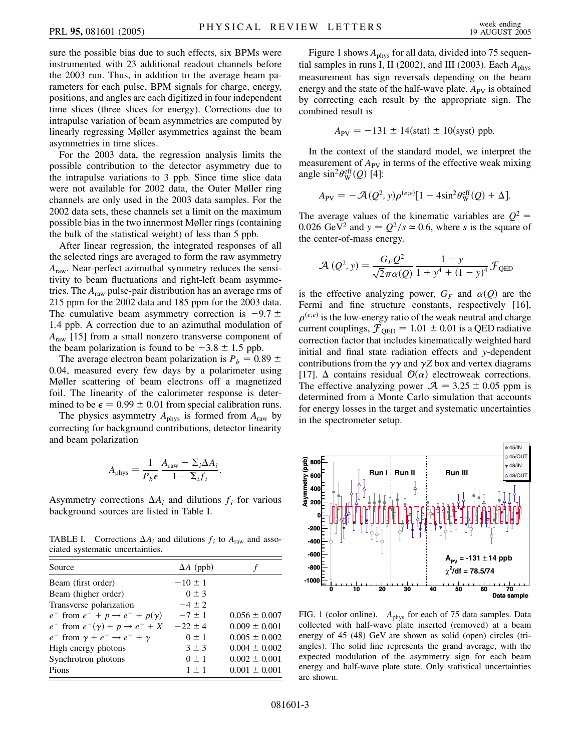sure the possible bias due to such effects, six BPMs were instrumented with 23 additional readout channels before the 2003 run. Thus, in addition to the average beam parameters for each pulse, BPM signals for charge, energy, positions, and angles are each digitized in four independent time slices (three slices for energy). Corrections due to intrapulse variation of beam asymmetries are computed by linearly regressing Møller asymmetries against the beam asymmetries in time slices.

For the 2003 data, the regression analysis limits the possible contribution to the detector asymmetry due to the intrapulse variations to 3 ppb. Since time slice data were not available for 2002 data, the Outer Møller ring channels are only used in the 2003 data samples. For the 2002 data sets, these channels set a limit on the maximum possible bias in the two innermost Møller rings (containing the bulk of the statistical weight) of less than 5 ppb.

After linear regression, the integrated responses of all the selected rings are averaged to form the raw asymmetry *A*raw. Near-perfect azimuthal symmetry reduces the sensitivity to beam fluctuations and right-left beam asymmetries. The *A*raw pulse-pair distribution has an average rms of 215 ppm for the 2002 data and 185 ppm for the 2003 data. The cumulative beam asymmetry correction is  $-9.7 \pm$ 1.4 ppb. A correction due to an azimuthal modulation of *A*raw [15] from a small nonzero transverse component of the beam polarization is found to be  $-3.8 \pm 1.5$  ppb.

The average electron beam polarization is  $P_b = 0.89 \pm 0.89$ 0*:*04, measured every few days by a polarimeter using Møller scattering of beam electrons off a magnetized foil. The linearity of the calorimeter response is determined to be  $\epsilon = 0.99 \pm 0.01$  from special calibration runs.

The physics asymmetry  $A_{phys}$  is formed from  $A_{raw}$  by correcting for background contributions, detector linearity and beam polarization

$$
A_{\text{phys}} = \frac{1}{P_b \epsilon} \frac{A_{\text{raw}} - \Sigma_i \Delta A_i}{1 - \Sigma_i f_i}.
$$

Asymmetry corrections  $\Delta A_i$  and dilutions  $f_i$  for various background sources are listed in Table I.

TABLE I. Corrections  $\Delta A_i$  and dilutions  $f_i$  to  $A_{\text{raw}}$  and associated systematic uncertainties.

| Source                                               | $\Delta A$ (ppb) |                   |
|------------------------------------------------------|------------------|-------------------|
| Beam (first order)                                   | $-10 \pm 1$      |                   |
| Beam (higher order)                                  | $0 \pm 3$        |                   |
| Transverse polarization                              | $-4 + 2$         |                   |
| $e^-$ from $e^-$ + $p \rightarrow e^-$ + $p(\gamma)$ | $-7+1$           | $0.056 \pm 0.007$ |
| $e^-$ from $e^-(\gamma) + p \rightarrow e^- + X$     | $-22 + 4$        | $0.009 \pm 0.001$ |
| $e^-$ from $\gamma + e^- \rightarrow e^- + \gamma$   | $0 \pm 1$        | $0.005 \pm 0.002$ |
| High energy photons                                  | $3 \pm 3$        | $0.004 \pm 0.002$ |
| Synchrotron photons                                  | $0 \pm 1$        | $0.002 \pm 0.001$ |
| Pions                                                | $1 \pm 1$        | $0.001 \pm 0.001$ |

Figure 1 shows  $A_{\text{phys}}$  for all data, divided into 75 sequential samples in runs I, II (2002), and III (2003). Each  $A_{\text{phys}}$ measurement has sign reversals depending on the beam energy and the state of the half-wave plate.  $A_{PV}$  is obtained by correcting each result by the appropriate sign. The combined result is

$$
A_{\rm PV} = -131 \pm 14 \text{(stat)} \pm 10 \text{(syst)}
$$
 ppb.

In the context of the standard model, we interpret the measurement of  $A_{\text{PV}}$  in terms of the effective weak mixing angle  $\sin^2\theta_W^{\text{eff}}(Q)$  [4]:

$$
A_{\rm PV} = -\mathcal{A}(Q^2, y)\rho^{(e,e)}[1 - 4\sin^2\theta_{\rm W}^{\rm eff}(Q) + \Delta].
$$

The average values of the kinematic variables are  $Q^2$  = 0.026 GeV<sup>2</sup> and  $y = Q^2/s \approx 0.6$ , where *s* is the square of the center-of-mass energy.

$$
\mathcal{A}\left(Q^{2}, y\right) = \frac{G_{F} Q^{2}}{\sqrt{2} \pi \alpha(Q)} \frac{1 - y}{1 + y^{4} + (1 - y)^{4}} \mathcal{F}_{QED}
$$

is the effective analyzing power,  $G_F$  and  $\alpha(Q)$  are the Fermi and fine structure constants, respectively [16],  $\rho^{(e;e)}$  is the low-energy ratio of the weak neutral and charge current couplings,  $\mathcal{F}_{\text{OED}} = 1.01 \pm 0.01$  is a QED radiative correction factor that includes kinematically weighted hard initial and final state radiation effects and *y*-dependent contributions from the  $\gamma\gamma$  and  $\gamma Z$  box and vertex diagrams [17].  $\Delta$  contains residual  $\mathcal{O}(\alpha)$  electroweak corrections. The effective analyzing power  $A = 3.25 \pm 0.05$  ppm is determined from a Monte Carlo simulation that accounts for energy losses in the target and systematic uncertainties in the spectrometer setup.



FIG. 1 (color online). *A*<sub>phys</sub> for each of 75 data samples. Data collected with half-wave plate inserted (removed) at a beam energy of 45 (48) GeV are shown as solid (open) circles (triangles). The solid line represents the grand average, with the expected modulation of the asymmetry sign for each beam energy and half-wave plate state. Only statistical uncertainties are shown.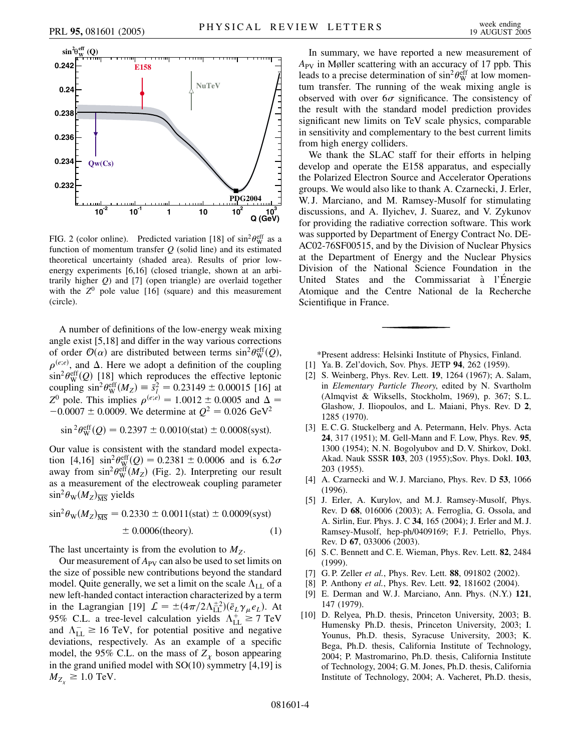

FIG. 2 (color online). Predicted variation [18] of  $\sin^2\theta_W^{\text{eff}}$  as a function of momentum transfer *Q* (solid line) and its estimated theoretical uncertainty (shaded area). Results of prior lowenergy experiments [6,16] (closed triangle, shown at an arbitrarily higher *Q*) and [7] (open triangle) are overlaid together with the  $Z^0$  pole value [16] (square) and this measurement (circle).

A number of definitions of the low-energy weak mixing angle exist [5,18] and differ in the way various corrections of order  $\mathcal{O}(\alpha)$  are distributed between terms  $\sin^2 \theta_W^{\text{eff}}(Q)$ ,  $\rho^{(e;e)}$ , and  $\Delta$ . Here we adopt a definition of the coupling  $\sin^2\theta_W^{\text{eff}}(Q)$  [18] which reproduces the effective leptonic coupling  $\sin^2 \theta_W^{\text{eff}}(M_Z) = \bar{s}_l^2 = 0.23149 \pm 0.00015$  [16] at *Z*<sup>0</sup> pole. This implies  $\rho^{(e,e)} = 1.0012 \pm 0.0005$  and  $\Delta =$  $-0.0007 \pm 0.0009$ . We determine at  $Q^2 = 0.026 \text{ GeV}^2$ 

$$
\sin^2\theta_{\rm W}^{\rm eff}(Q) = 0.2397 \pm 0.0010(\text{stat}) \pm 0.0008(\text{syst}).
$$

Our value is consistent with the standard model expectation [4,16]  $\sin^2 \theta_W^{\text{eff}}(Q) = 0.2381 \pm 0.0006$  and is  $6.2\sigma$ away from  $\sin^2\theta_W^{\text{eff}}(M_Z)$  (Fig. 2). Interpreting our result as a measurement of the electroweak coupling parameter  $\sin^2\theta_{\rm W}(M_Z)_{\overline{\rm MS}}$  yields

$$
\sin^2 \theta_{\rm W}(M_Z)_{\overline{\rm MS}} = 0.2330 \pm 0.0011 \text{(stat)} \pm 0.0009 \text{(syst)} \pm 0.0006 \text{(theory)}.
$$
 (1)

The last uncertainty is from the evolution to  $M_Z$ .

Our measurement of  $A_{PV}$  can also be used to set limits on the size of possible new contributions beyond the standard model. Quite generally, we set a limit on the scale  $\Lambda_{LL}$  of a new left-handed contact interaction characterized by a term in the Lagrangian [19]  $\mathcal{L} = \pm (4\pi/2\Lambda_{LL}^{\pm 2})(\bar{e}_L\gamma_\mu e_L)$ . At 95% C.L. a tree-level calculation yields  $\Lambda_{LL}^+ \ge 7$  TeV and  $\Lambda_{\text{LL}}^{-} \geq 16 \text{ TeV}$ , for potential positive and negative deviations, respectively. As an example of a specific model, the 95% C.L. on the mass of  $Z_{\chi}$  boson appearing in the grand unified model with  $SO(10)$  symmetry  $[4,19]$  is  $M_{Z_{\nu}} \geq 1.0$  TeV.

In summary, we have reported a new measurement of  $A_{PV}$  in Møller scattering with an accuracy of 17 ppb. This leads to a precise determination of  $\sin^2\theta_W^{\text{eff}}$  at low momentum transfer. The running of the weak mixing angle is observed with over  $6\sigma$  significance. The consistency of the result with the standard model prediction provides significant new limits on TeV scale physics, comparable in sensitivity and complementary to the best current limits from high energy colliders.

We thank the SLAC staff for their efforts in helping develop and operate the E158 apparatus, and especially the Polarized Electron Source and Accelerator Operations groups. We would also like to thank A. Czarnecki, J. Erler, W. J. Marciano, and M. Ramsey-Musolf for stimulating discussions, and A. Ilyichev, J. Suarez, and V. Zykunov for providing the radiative correction software. This work was supported by Department of Energy Contract No. DE-AC02-76SF00515, and by the Division of Nuclear Physics at the Department of Energy and the Nuclear Physics Division of the National Science Foundation in the United States and the Commissariat à l'Énergie Atomique and the Centre National de la Recherche Scientifique in France.

\*Present address: Helsinki Institute of Physics, Finland.

- [1] Ya. B. Zel'dovich, Sov. Phys. JETP **94**, 262 (1959).
- [2] S. Weinberg, Phys. Rev. Lett. **19**, 1264 (1967); A. Salam, in *Elementary Particle Theory*, edited by N. Svartholm (Almqvist & Wiksells, Stockholm, 1969), p. 367; S. L. Glashow, J. Iliopoulos, and L. Maiani, Phys. Rev. D **2**, 1285 (1970).
- [3] E.C.G. Stuckelberg and A. Petermann, Helv. Phys. Acta **24**, 317 (1951); M. Gell-Mann and F. Low, Phys. Rev. **95**, 1300 (1954); N. N. Bogolyubov and D. V. Shirkov, Dokl. Akad. Nauk SSSR **103**, 203 (1955);Sov. Phys. Dokl. **103**, 203 (1955).
- [4] A. Czarnecki and W. J. Marciano, Phys. Rev. D **53**, 1066 (1996).
- [5] J. Erler, A. Kurylov, and M. J. Ramsey-Musolf, Phys. Rev. D **68**, 016006 (2003); A. Ferroglia, G. Ossola, and A. Sirlin, Eur. Phys. J. C **34**, 165 (2004); J. Erler and M. J. Ramsey-Musolf, hep-ph/0409169; F. J. Petriello, Phys. Rev. D **67**, 033006 (2003).
- [6] S. C. Bennett and C. E. Wieman, Phys. Rev. Lett. **82**, 2484 (1999).
- [7] G. P. Zeller *et al.*, Phys. Rev. Lett. **88**, 091802 (2002).
- [8] P. Anthony *et al.*, Phys. Rev. Lett. **92**, 181602 (2004).
- [9] E. Derman and W. J. Marciano, Ann. Phys. (N.Y.) **121**, 147 (1979).
- [10] D. Relyea, Ph.D. thesis, Princeton University, 2003; B. Humensky Ph.D. thesis, Princeton University, 2003; I. Younus, Ph.D. thesis, Syracuse University, 2003; K. Bega, Ph.D. thesis, California Institute of Technology, 2004; P. Mastromarino, Ph.D. thesis, California Institute of Technology, 2004; G. M. Jones, Ph.D. thesis, California Institute of Technology, 2004; A. Vacheret, Ph.D. thesis,